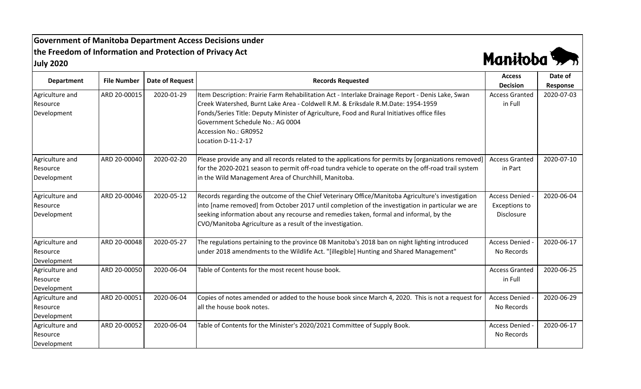**Government of Manitoba Department Access Decisions under the Freedom of Information and Protection of Privacy Act July 2020**



| <b>Department</b> | <b>File Number</b> |                        | <b>Records Requested</b>                                                                               | <b>Access</b>         | Date of    |
|-------------------|--------------------|------------------------|--------------------------------------------------------------------------------------------------------|-----------------------|------------|
|                   |                    | <b>Date of Request</b> |                                                                                                        | <b>Decision</b>       | Response   |
| Agriculture and   | ARD 20-00015       | 2020-01-29             | Item Description: Prairie Farm Rehabilitation Act - Interlake Drainage Report - Denis Lake, Swan       | <b>Access Granted</b> | 2020-07-03 |
| Resource          |                    |                        | Creek Watershed, Burnt Lake Area - Coldwell R.M. & Eriksdale R.M.Date: 1954-1959                       | in Full               |            |
| Development       |                    |                        | Fonds/Series Title: Deputy Minister of Agriculture, Food and Rural Initiatives office files            |                       |            |
|                   |                    |                        | Government Schedule No.: AG 0004                                                                       |                       |            |
|                   |                    |                        | Accession No.: GR0952                                                                                  |                       |            |
|                   |                    |                        | Location D-11-2-17                                                                                     |                       |            |
| Agriculture and   | ARD 20-00040       | 2020-02-20             | [Please provide any and all records related to the applications for permits by [organizations removed] | <b>Access Granted</b> | 2020-07-10 |
| Resource          |                    |                        | for the 2020-2021 season to permit off-road tundra vehicle to operate on the off-road trail system     | in Part               |            |
| Development       |                    |                        | in the Wild Management Area of Churchhill, Manitoba.                                                   |                       |            |
|                   |                    |                        |                                                                                                        |                       |            |
| Agriculture and   | ARD 20-00046       | 2020-05-12             | Records regarding the outcome of the Chief Veterinary Office/Manitoba Agriculture's investigation      | <b>Access Denied</b>  | 2020-06-04 |
| Resource          |                    |                        | into [name removed] from October 2017 until completion of the investigation in particular we are       | <b>Exceptions to</b>  |            |
| Development       |                    |                        | seeking information about any recourse and remedies taken, formal and informal, by the                 | <b>Disclosure</b>     |            |
|                   |                    |                        | CVO/Manitoba Agriculture as a result of the investigation.                                             |                       |            |
| Agriculture and   | ARD 20-00048       | 2020-05-27             | The regulations pertaining to the province 08 Manitoba's 2018 ban on night lighting introduced         | <b>Access Denied</b>  | 2020-06-17 |
| Resource          |                    |                        | under 2018 amendments to the Wildlife Act. "[illegible] Hunting and Shared Management"                 | No Records            |            |
| Development       |                    |                        |                                                                                                        |                       |            |
| Agriculture and   | ARD 20-00050       | 2020-06-04             | Table of Contents for the most recent house book.                                                      | <b>Access Granted</b> | 2020-06-25 |
| Resource          |                    |                        |                                                                                                        | in Full               |            |
| Development       |                    |                        |                                                                                                        |                       |            |
| Agriculture and   | ARD 20-00051       | 2020-06-04             | Copies of notes amended or added to the house book since March 4, 2020. This is not a request for      | <b>Access Denied</b>  | 2020-06-29 |
| Resource          |                    |                        | all the house book notes.                                                                              | No Records            |            |
| Development       |                    |                        |                                                                                                        |                       |            |
| Agriculture and   | ARD 20-00052       | 2020-06-04             | Table of Contents for the Minister's 2020/2021 Committee of Supply Book.                               | <b>Access Denied</b>  | 2020-06-17 |
| Resource          |                    |                        |                                                                                                        | No Records            |            |
| Development       |                    |                        |                                                                                                        |                       |            |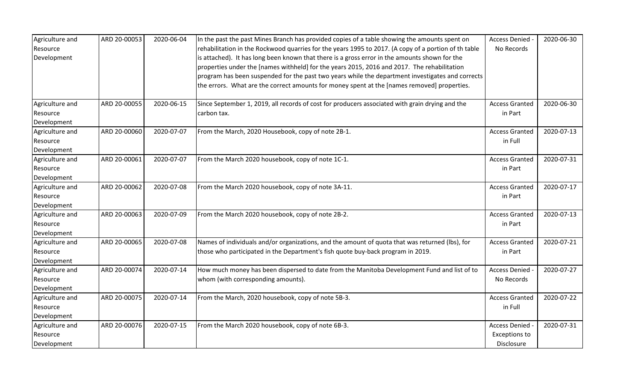| Agriculture and | ARD 20-00053 | 2020-06-04 | In the past the past Mines Branch has provided copies of a table showing the amounts spent on        | Access Denied -       | 2020-06-30 |
|-----------------|--------------|------------|------------------------------------------------------------------------------------------------------|-----------------------|------------|
| Resource        |              |            | rehabilitation in the Rockwood quarries for the years 1995 to 2017. (A copy of a portion of th table | No Records            |            |
| Development     |              |            | is attached). It has long been known that there is a gross error in the amounts shown for the        |                       |            |
|                 |              |            | properties under the [names withheld] for the years 2015, 2016 and 2017. The rehabilitation          |                       |            |
|                 |              |            | program has been suspended for the past two years while the department investigates and corrects     |                       |            |
|                 |              |            | the errors. What are the correct amounts for money spent at the [names removed] properties.          |                       |            |
| Agriculture and | ARD 20-00055 | 2020-06-15 | Since September 1, 2019, all records of cost for producers associated with grain drying and the      | <b>Access Granted</b> | 2020-06-30 |
| Resource        |              |            | carbon tax.                                                                                          | in Part               |            |
| Development     |              |            |                                                                                                      |                       |            |
| Agriculture and | ARD 20-00060 | 2020-07-07 | From the March, 2020 Housebook, copy of note 2B-1.                                                   | <b>Access Granted</b> | 2020-07-13 |
| Resource        |              |            |                                                                                                      | in Full               |            |
| Development     |              |            |                                                                                                      |                       |            |
| Agriculture and | ARD 20-00061 | 2020-07-07 | From the March 2020 housebook, copy of note 1C-1.                                                    | <b>Access Granted</b> | 2020-07-31 |
| Resource        |              |            |                                                                                                      | in Part               |            |
| Development     |              |            |                                                                                                      |                       |            |
| Agriculture and | ARD 20-00062 | 2020-07-08 | From the March 2020 housebook, copy of note 3A-11.                                                   | <b>Access Granted</b> | 2020-07-17 |
| Resource        |              |            |                                                                                                      | in Part               |            |
| Development     |              |            |                                                                                                      |                       |            |
| Agriculture and | ARD 20-00063 | 2020-07-09 | From the March 2020 housebook, copy of note 2B-2.                                                    | <b>Access Granted</b> | 2020-07-13 |
| Resource        |              |            |                                                                                                      | in Part               |            |
| Development     |              |            |                                                                                                      |                       |            |
| Agriculture and | ARD 20-00065 | 2020-07-08 | Names of individuals and/or organizations, and the amount of quota that was returned (lbs), for      | <b>Access Granted</b> | 2020-07-21 |
| Resource        |              |            | those who participated in the Department's fish quote buy-back program in 2019.                      | in Part               |            |
| Development     |              |            |                                                                                                      |                       |            |
| Agriculture and | ARD 20-00074 | 2020-07-14 | How much money has been dispersed to date from the Manitoba Development Fund and list of to          | Access Denied -       | 2020-07-27 |
| Resource        |              |            | whom (with corresponding amounts).                                                                   | No Records            |            |
| Development     |              |            |                                                                                                      |                       |            |
| Agriculture and | ARD 20-00075 | 2020-07-14 | From the March, 2020 housebook, copy of note 5B-3.                                                   | <b>Access Granted</b> | 2020-07-22 |
| Resource        |              |            |                                                                                                      | in Full               |            |
| Development     |              |            |                                                                                                      |                       |            |
| Agriculture and | ARD 20-00076 | 2020-07-15 | From the March 2020 housebook, copy of note 6B-3.                                                    | Access Denied -       | 2020-07-31 |
| Resource        |              |            |                                                                                                      | <b>Exceptions to</b>  |            |
| Development     |              |            |                                                                                                      | Disclosure            |            |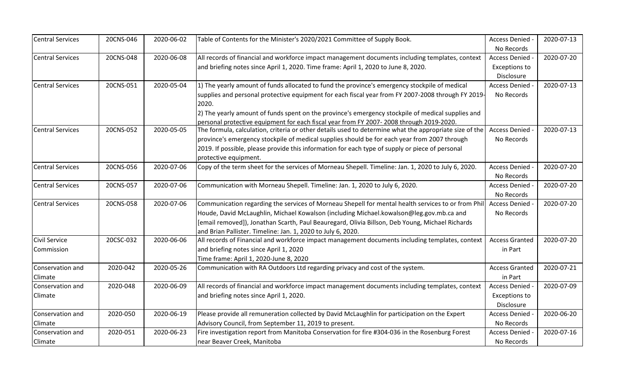| <b>Central Services</b> | 20CNS-046 | 2020-06-02 | Table of Contents for the Minister's 2020/2021 Committee of Supply Book.                                                                                                                          | Access Denied         | 2020-07-13 |
|-------------------------|-----------|------------|---------------------------------------------------------------------------------------------------------------------------------------------------------------------------------------------------|-----------------------|------------|
|                         |           |            |                                                                                                                                                                                                   | No Records            |            |
| <b>Central Services</b> | 20CNS-048 | 2020-06-08 | All records of financial and workforce impact management documents including templates, context                                                                                                   | <b>Access Denied</b>  | 2020-07-20 |
|                         |           |            | and briefing notes since April 1, 2020. Time frame: April 1, 2020 to June 8, 2020.                                                                                                                | <b>Exceptions to</b>  |            |
|                         |           |            |                                                                                                                                                                                                   | Disclosure            |            |
| <b>Central Services</b> | 20CNS-051 | 2020-05-04 | 1) The yearly amount of funds allocated to fund the province's emergency stockpile of medical                                                                                                     | <b>Access Denied</b>  | 2020-07-13 |
|                         |           |            | supplies and personal protective equipment for each fiscal year from FY 2007-2008 through FY 2019-                                                                                                | No Records            |            |
|                         |           |            | 2020.                                                                                                                                                                                             |                       |            |
|                         |           |            | 2) The yearly amount of funds spent on the province's emergency stockpile of medical supplies and                                                                                                 |                       |            |
| <b>Central Services</b> | 20CNS-052 | 2020-05-05 | personal protective equipment for each fiscal year from FY 2007-2008 through 2019-2020.<br>The formula, calculation, criteria or other details used to determine what the appropriate size of the | <b>Access Denied</b>  | 2020-07-13 |
|                         |           |            | province's emergency stockpile of medical supplies should be for each year from 2007 through                                                                                                      | No Records            |            |
|                         |           |            | 2019. If possible, please provide this information for each type of supply or piece of personal                                                                                                   |                       |            |
|                         |           |            |                                                                                                                                                                                                   |                       |            |
| <b>Central Services</b> | 20CNS-056 | 2020-07-06 | protective equipment.<br>Copy of the term sheet for the services of Morneau Shepell. Timeline: Jan. 1, 2020 to July 6, 2020.                                                                      | <b>Access Denied</b>  | 2020-07-20 |
|                         |           |            |                                                                                                                                                                                                   |                       |            |
|                         |           |            |                                                                                                                                                                                                   | No Records            |            |
| <b>Central Services</b> | 20CNS-057 | 2020-07-06 | Communication with Morneau Shepell. Timeline: Jan. 1, 2020 to July 6, 2020.                                                                                                                       | Access Denied -       | 2020-07-20 |
|                         |           |            |                                                                                                                                                                                                   | No Records            |            |
| <b>Central Services</b> | 20CNS-058 | 2020-07-06 | Communication regarding the services of Morneau Shepell for mental health services to or from Phil                                                                                                | <b>Access Denied</b>  | 2020-07-20 |
|                         |           |            | Houde, David McLaughlin, Michael Kowalson (including Michael.kowalson@leg.gov.mb.ca and                                                                                                           | No Records            |            |
|                         |           |            | [email removed]), Jonathan Scarth, Paul Beauregard, Olivia Billson, Deb Young, Michael Richards                                                                                                   |                       |            |
|                         |           |            | and Brian Pallister. Timeline: Jan. 1, 2020 to July 6, 2020.                                                                                                                                      |                       |            |
| Civil Service           | 20CSC-032 | 2020-06-06 | All records of Financial and workforce impact management documents including templates, context                                                                                                   | <b>Access Granted</b> | 2020-07-20 |
| Commission              |           |            | and briefing notes since April 1, 2020                                                                                                                                                            | in Part               |            |
|                         |           |            | Time frame: April 1, 2020-June 8, 2020                                                                                                                                                            |                       |            |
| Conservation and        | 2020-042  | 2020-05-26 | Communication with RA Outdoors Ltd regarding privacy and cost of the system.                                                                                                                      | <b>Access Granted</b> | 2020-07-21 |
| Climate                 |           |            |                                                                                                                                                                                                   | in Part               |            |
| Conservation and        | 2020-048  | 2020-06-09 | All records of financial and workforce impact management documents including templates, context                                                                                                   | Access Denied -       | 2020-07-09 |
| Climate                 |           |            | and briefing notes since April 1, 2020.                                                                                                                                                           | <b>Exceptions to</b>  |            |
|                         |           |            |                                                                                                                                                                                                   | Disclosure            |            |
| Conservation and        | 2020-050  | 2020-06-19 | Please provide all remuneration collected by David McLaughlin for participation on the Expert                                                                                                     | Access Denied -       | 2020-06-20 |
| Climate                 |           |            | Advisory Council, from September 11, 2019 to present.                                                                                                                                             | No Records            |            |
| Conservation and        | 2020-051  | 2020-06-23 | Fire investigation report from Manitoba Conservation for fire #304-036 in the Rosenburg Forest                                                                                                    | <b>Access Denied</b>  | 2020-07-16 |
| Climate                 |           |            | near Beaver Creek, Manitoba                                                                                                                                                                       | No Records            |            |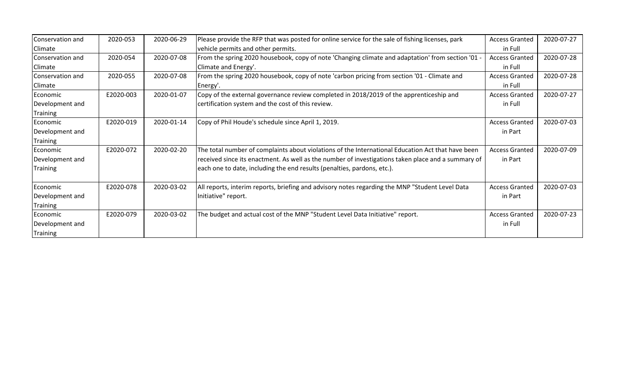| Conservation and | 2020-053  | 2020-06-29 | Please provide the RFP that was posted for online service for the sale of fishing licenses, park   | <b>Access Granted</b> | 2020-07-27 |
|------------------|-----------|------------|----------------------------------------------------------------------------------------------------|-----------------------|------------|
| Climate          |           |            | vehicle permits and other permits.                                                                 | in Full               |            |
| Conservation and | 2020-054  | 2020-07-08 | From the spring 2020 housebook, copy of note 'Changing climate and adaptation' from section '01 -  | <b>Access Granted</b> | 2020-07-28 |
| Climate          |           |            | Climate and Energy'.                                                                               | in Full               |            |
| Conservation and | 2020-055  | 2020-07-08 | From the spring 2020 housebook, copy of note 'carbon pricing from section '01 - Climate and        | <b>Access Granted</b> | 2020-07-28 |
| Climate          |           |            | Energy'.                                                                                           | in Full               |            |
| Economic         | E2020-003 | 2020-01-07 | Copy of the external governance review completed in 2018/2019 of the apprenticeship and            | <b>Access Granted</b> | 2020-07-27 |
| Development and  |           |            | certification system and the cost of this review.                                                  | in Full               |            |
| Training         |           |            |                                                                                                    |                       |            |
| Economic         | E2020-019 | 2020-01-14 | Copy of Phil Houde's schedule since April 1, 2019.                                                 | <b>Access Granted</b> | 2020-07-03 |
| Development and  |           |            |                                                                                                    | in Part               |            |
| Training         |           |            |                                                                                                    |                       |            |
| Economic         | E2020-072 | 2020-02-20 | The total number of complaints about violations of the International Education Act that have been  | <b>Access Granted</b> | 2020-07-09 |
| Development and  |           |            | received since its enactment. As well as the number of investigations taken place and a summary of | in Part               |            |
| Training         |           |            | each one to date, including the end results (penalties, pardons, etc.).                            |                       |            |
|                  | E2020-078 |            |                                                                                                    |                       |            |
| Economic         |           | 2020-03-02 | All reports, interim reports, briefing and advisory notes regarding the MNP "Student Level Data    | <b>Access Granted</b> | 2020-07-03 |
| Development and  |           |            | Initiative" report.                                                                                | in Part               |            |
| Training         |           |            |                                                                                                    |                       |            |
| Economic         | E2020-079 | 2020-03-02 | The budget and actual cost of the MNP "Student Level Data Initiative" report.                      | <b>Access Granted</b> | 2020-07-23 |
| Development and  |           |            |                                                                                                    | in Full               |            |
| Training         |           |            |                                                                                                    |                       |            |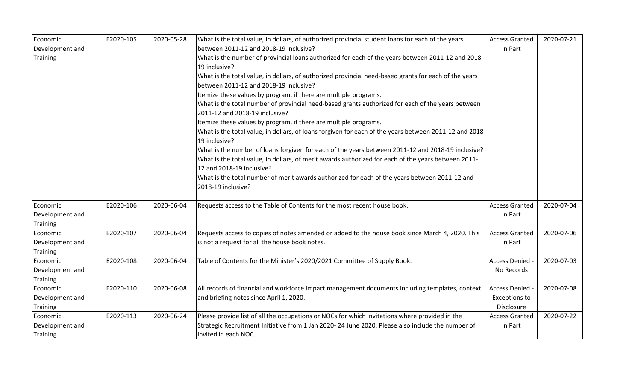| Economic                                       | E2020-105 | 2020-05-28 | What is the total value, in dollars, of authorized provincial student loans for each of the years                                                                                                                                                                                                                                                                                                                                                                                                                                                           | <b>Access Granted</b>                                 | 2020-07-21 |
|------------------------------------------------|-----------|------------|-------------------------------------------------------------------------------------------------------------------------------------------------------------------------------------------------------------------------------------------------------------------------------------------------------------------------------------------------------------------------------------------------------------------------------------------------------------------------------------------------------------------------------------------------------------|-------------------------------------------------------|------------|
| Development and                                |           |            | between 2011-12 and 2018-19 inclusive?                                                                                                                                                                                                                                                                                                                                                                                                                                                                                                                      | in Part                                               |            |
| <b>Training</b>                                |           |            | What is the number of provincial loans authorized for each of the years between 2011-12 and 2018-<br>19 inclusive?<br>What is the total value, in dollars, of authorized provincial need-based grants for each of the years<br>between 2011-12 and 2018-19 inclusive?<br>Itemize these values by program, if there are multiple programs.<br>What is the total number of provincial need-based grants authorized for each of the years between<br>2011-12 and 2018-19 inclusive?                                                                            |                                                       |            |
|                                                |           |            | Itemize these values by program, if there are multiple programs.<br>What is the total value, in dollars, of loans forgiven for each of the years between 2011-12 and 2018-<br>19 inclusive?<br>What is the number of loans forgiven for each of the years between 2011-12 and 2018-19 inclusive?<br>What is the total value, in dollars, of merit awards authorized for each of the years between 2011-<br>12 and 2018-19 inclusive?<br>What is the total number of merit awards authorized for each of the years between 2011-12 and<br>2018-19 inclusive? |                                                       |            |
| Economic<br>Development and<br><b>Training</b> | E2020-106 | 2020-06-04 | Requests access to the Table of Contents for the most recent house book.                                                                                                                                                                                                                                                                                                                                                                                                                                                                                    | <b>Access Granted</b><br>in Part                      | 2020-07-04 |
| Economic<br>Development and<br><b>Training</b> | E2020-107 | 2020-06-04 | Requests access to copies of notes amended or added to the house book since March 4, 2020. This<br>is not a request for all the house book notes.                                                                                                                                                                                                                                                                                                                                                                                                           | <b>Access Granted</b><br>in Part                      | 2020-07-06 |
| Economic<br>Development and<br><b>Training</b> | E2020-108 | 2020-06-04 | Table of Contents for the Minister's 2020/2021 Committee of Supply Book.                                                                                                                                                                                                                                                                                                                                                                                                                                                                                    | <b>Access Denied</b><br>No Records                    | 2020-07-03 |
| Economic<br>Development and<br><b>Training</b> | E2020-110 | 2020-06-08 | All records of financial and workforce impact management documents including templates, context<br>and briefing notes since April 1, 2020.                                                                                                                                                                                                                                                                                                                                                                                                                  | Access Denied -<br><b>Exceptions to</b><br>Disclosure | 2020-07-08 |
| Economic<br>Development and<br>Training        | E2020-113 | 2020-06-24 | Please provide list of all the occupations or NOCs for which invitations where provided in the<br>Strategic Recruitment Initiative from 1 Jan 2020-24 June 2020. Please also include the number of<br>invited in each NOC.                                                                                                                                                                                                                                                                                                                                  | <b>Access Granted</b><br>in Part                      | 2020-07-22 |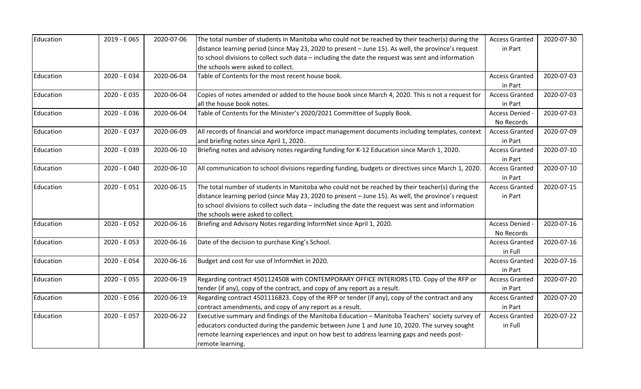| Education | 2019 - E 065 | 2020-07-06 | The total number of students in Manitoba who could not be reached by their teacher(s) during the    | <b>Access Granted</b> | 2020-07-30 |
|-----------|--------------|------------|-----------------------------------------------------------------------------------------------------|-----------------------|------------|
|           |              |            | distance learning period (since May 23, 2020 to present - June 15). As well, the province's request | in Part               |            |
|           |              |            | to school divisions to collect such data - including the date the request was sent and information  |                       |            |
|           |              |            | the schools were asked to collect.                                                                  |                       |            |
| Education | 2020 - E034  | 2020-06-04 | Table of Contents for the most recent house book.                                                   | <b>Access Granted</b> | 2020-07-03 |
|           |              |            |                                                                                                     | in Part               |            |
| Education | 2020 - E035  | 2020-06-04 | Copies of notes amended or added to the house book since March 4, 2020. This is not a request for   | <b>Access Granted</b> | 2020-07-03 |
|           |              |            | all the house book notes.                                                                           | in Part               |            |
| Education | 2020 - E036  | 2020-06-04 | Table of Contents for the Minister's 2020/2021 Committee of Supply Book.                            | Access Denied -       | 2020-07-03 |
|           |              |            |                                                                                                     | No Records            |            |
| Education | 2020 - E037  | 2020-06-09 | All records of financial and workforce impact management documents including templates, context     | <b>Access Granted</b> | 2020-07-09 |
|           |              |            | and briefing notes since April 1, 2020.                                                             | in Part               |            |
| Education | 2020 - E039  | 2020-06-10 | Briefing notes and advisory notes regarding funding for K-12 Education since March 1, 2020.         | <b>Access Granted</b> | 2020-07-10 |
|           |              |            |                                                                                                     | in Part               |            |
| Education | 2020 - E 040 | 2020-06-10 | All communication to school divisions regarding funding, budgets or directives since March 1, 2020. | <b>Access Granted</b> | 2020-07-10 |
|           |              |            |                                                                                                     | in Part               |            |
| Education | 2020 - E051  | 2020-06-15 | The total number of students in Manitoba who could not be reached by their teacher(s) during the    | <b>Access Granted</b> | 2020-07-15 |
|           |              |            | distance learning period (since May 23, 2020 to present - June 15). As well, the province's request | in Part               |            |
|           |              |            | to school divisions to collect such data - including the date the request was sent and information  |                       |            |
|           |              |            | the schools were asked to collect.                                                                  |                       |            |
| Education | 2020 - E052  | 2020-06-16 | Briefing and Advisory Notes regarding InformNet since April 1, 2020.                                | Access Denied -       | 2020-07-16 |
|           |              |            |                                                                                                     | No Records            |            |
| Education | 2020 - E053  | 2020-06-16 | Date of the decision to purchase King's School.                                                     | <b>Access Granted</b> | 2020-07-16 |
|           |              |            |                                                                                                     | in Full               |            |
| Education | 2020 - E 054 | 2020-06-16 | Budget and cost for use of InformNet in 2020.                                                       | <b>Access Granted</b> | 2020-07-16 |
|           |              |            |                                                                                                     | in Part               |            |
| Education | 2020 - E055  | 2020-06-19 | Regarding contract 4501124508 with CONTEMPORARY OFFICE INTERIORS LTD. Copy of the RFP or            | <b>Access Granted</b> | 2020-07-20 |
|           |              |            | tender (if any), copy of the contract, and copy of any report as a result.                          | in Part               |            |
| Education | 2020 - E 056 | 2020-06-19 | Regarding contract 4501116823. Copy of the RFP or tender (if any), copy of the contract and any     | <b>Access Granted</b> | 2020-07-20 |
|           |              |            | contract amendments, and copy of any report as a result.                                            | in Part               |            |
| Education | 2020 - E 057 | 2020-06-22 | Executive summary and findings of the Manitoba Education - Manitoba Teachers' society survey of     | <b>Access Granted</b> | 2020-07-22 |
|           |              |            | educators conducted during the pandemic between June 1 and June 10, 2020. The survey sought         | in Full               |            |
|           |              |            | remote learning experiences and input on how best to address learning gaps and needs post-          |                       |            |
|           |              |            | remote learning.                                                                                    |                       |            |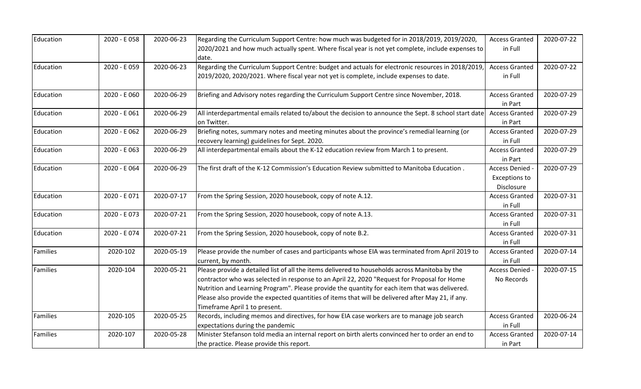| Education       | 2020 - E058  | 2020-06-23 | Regarding the Curriculum Support Centre: how much was budgeted for in 2018/2019, 2019/2020,                         | <b>Access Granted</b>            | 2020-07-22 |
|-----------------|--------------|------------|---------------------------------------------------------------------------------------------------------------------|----------------------------------|------------|
|                 |              |            | 2020/2021 and how much actually spent. Where fiscal year is not yet complete, include expenses to<br>date.          | in Full                          |            |
| Education       | 2020 - E059  | 2020-06-23 | Regarding the Curriculum Support Centre: budget and actuals for electronic resources in 2018/2019,                  | <b>Access Granted</b>            | 2020-07-22 |
|                 |              |            | 2019/2020, 2020/2021. Where fiscal year not yet is complete, include expenses to date.                              | in Full                          |            |
| Education       | 2020 - E 060 | 2020-06-29 | Briefing and Advisory notes regarding the Curriculum Support Centre since November, 2018.                           | <b>Access Granted</b>            | 2020-07-29 |
|                 |              |            |                                                                                                                     | in Part                          |            |
| Education       | 2020 - E 061 | 2020-06-29 | All interdepartmental emails related to/about the decision to announce the Sept. 8 school start date<br>on Twitter. | <b>Access Granted</b><br>in Part | 2020-07-29 |
| Education       | 2020 - E 062 | 2020-06-29 | Briefing notes, summary notes and meeting minutes about the province's remedial learning (or                        | <b>Access Granted</b>            | 2020-07-29 |
|                 |              |            | recovery learning) guidelines for Sept. 2020.                                                                       | in Full                          |            |
| Education       | 2020 - E 063 | 2020-06-29 | All interdepartmental emails about the K-12 education review from March 1 to present.                               | <b>Access Granted</b>            | 2020-07-29 |
|                 |              |            |                                                                                                                     | in Part                          |            |
| Education       | 2020 - E 064 | 2020-06-29 | The first draft of the K-12 Commission's Education Review submitted to Manitoba Education.                          | Access Denied -                  | 2020-07-29 |
|                 |              |            |                                                                                                                     | <b>Exceptions to</b>             |            |
|                 |              |            |                                                                                                                     | Disclosure                       |            |
| Education       | 2020 - E071  | 2020-07-17 | From the Spring Session, 2020 housebook, copy of note A.12.                                                         | <b>Access Granted</b>            | 2020-07-31 |
|                 |              |            |                                                                                                                     | in Full                          |            |
| Education       | 2020 - E073  | 2020-07-21 | From the Spring Session, 2020 housebook, copy of note A.13.                                                         | <b>Access Granted</b>            | 2020-07-31 |
|                 |              |            |                                                                                                                     | in Full                          |            |
| Education       | 2020 - E074  | 2020-07-21 | From the Spring Session, 2020 housebook, copy of note B.2.                                                          | <b>Access Granted</b>            | 2020-07-31 |
|                 |              |            |                                                                                                                     | in Full                          |            |
| <b>Families</b> | 2020-102     | 2020-05-19 | Please provide the number of cases and participants whose EIA was terminated from April 2019 to                     | <b>Access Granted</b>            | 2020-07-14 |
|                 |              |            | current, by month.                                                                                                  | in Full                          |            |
| Families        | 2020-104     | 2020-05-21 | Please provide a detailed list of all the items delivered to households across Manitoba by the                      | Access Denied -                  | 2020-07-15 |
|                 |              |            | contractor who was selected in response to an April 22, 2020 "Request for Proposal for Home                         | No Records                       |            |
|                 |              |            | Nutrition and Learning Program". Please provide the quantity for each item that was delivered.                      |                                  |            |
|                 |              |            | Please also provide the expected quantities of items that will be delivered after May 21, if any.                   |                                  |            |
|                 |              |            | Timeframe April 1 to present.                                                                                       |                                  |            |
| Families        | 2020-105     | 2020-05-25 | Records, including memos and directives, for how EIA case workers are to manage job search                          | <b>Access Granted</b>            | 2020-06-24 |
|                 |              |            | expectations during the pandemic                                                                                    | in Full                          |            |
| Families        | 2020-107     | 2020-05-28 | Minister Stefanson told media an internal report on birth alerts convinced her to order an end to                   | <b>Access Granted</b>            | 2020-07-14 |
|                 |              |            | the practice. Please provide this report.                                                                           | in Part                          |            |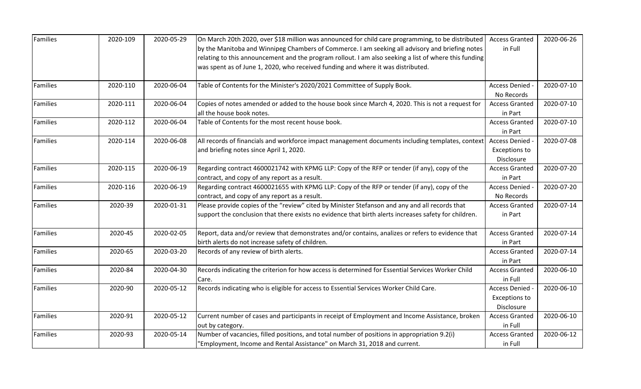| Families        | 2020-109 | 2020-05-29 | On March 20th 2020, over \$18 million was announced for child care programming, to be distributed     | <b>Access Granted</b> | 2020-06-26 |
|-----------------|----------|------------|-------------------------------------------------------------------------------------------------------|-----------------------|------------|
|                 |          |            | by the Manitoba and Winnipeg Chambers of Commerce. I am seeking all advisory and briefing notes       | in Full               |            |
|                 |          |            | relating to this announcement and the program rollout. I am also seeking a list of where this funding |                       |            |
|                 |          |            | was spent as of June 1, 2020, who received funding and where it was distributed.                      |                       |            |
| <b>Families</b> | 2020-110 | 2020-06-04 | Table of Contents for the Minister's 2020/2021 Committee of Supply Book.                              | Access Denied -       | 2020-07-10 |
|                 |          |            |                                                                                                       | No Records            |            |
| <b>Families</b> | 2020-111 | 2020-06-04 | Copies of notes amended or added to the house book since March 4, 2020. This is not a request for     | <b>Access Granted</b> | 2020-07-10 |
|                 |          |            | all the house book notes.                                                                             | in Part               |            |
| <b>Families</b> | 2020-112 | 2020-06-04 | Table of Contents for the most recent house book.                                                     | <b>Access Granted</b> | 2020-07-10 |
|                 |          |            |                                                                                                       | in Part               |            |
| <b>Families</b> | 2020-114 | 2020-06-08 | All records of financials and workforce impact management documents including templates, context      | <b>Access Denied</b>  | 2020-07-08 |
|                 |          |            | and briefing notes since April 1, 2020.                                                               | <b>Exceptions to</b>  |            |
|                 |          |            |                                                                                                       | Disclosure            |            |
| Families        | 2020-115 | 2020-06-19 | Regarding contract 4600021742 with KPMG LLP: Copy of the RFP or tender (if any), copy of the          | <b>Access Granted</b> | 2020-07-20 |
|                 |          |            | contract, and copy of any report as a result.                                                         | in Part               |            |
| <b>Families</b> | 2020-116 | 2020-06-19 | Regarding contract 4600021655 with KPMG LLP: Copy of the RFP or tender (if any), copy of the          | Access Denied -       | 2020-07-20 |
|                 |          |            | contract, and copy of any report as a result.                                                         | No Records            |            |
| Families        | 2020-39  | 2020-01-31 | Please provide copies of the "review" cited by Minister Stefanson and any and all records that        | <b>Access Granted</b> | 2020-07-14 |
|                 |          |            | support the conclusion that there exists no evidence that birth alerts increases safety for children. | in Part               |            |
| <b>Families</b> | 2020-45  | 2020-02-05 | Report, data and/or review that demonstrates and/or contains, analizes or refers to evidence that     | <b>Access Granted</b> | 2020-07-14 |
|                 |          |            | birth alerts do not increase safety of children.                                                      | in Part               |            |
| Families        | 2020-65  | 2020-03-20 | Records of any review of birth alerts.                                                                | <b>Access Granted</b> | 2020-07-14 |
|                 |          |            |                                                                                                       | in Part               |            |
| Families        | 2020-84  | 2020-04-30 | Records indicating the criterion for how access is determined for Essential Services Worker Child     | <b>Access Granted</b> | 2020-06-10 |
|                 |          |            | Care.                                                                                                 | in Full               |            |
| Families        | 2020-90  | 2020-05-12 | Records indicating who is eligible for access to Essential Services Worker Child Care.                | Access Denied -       | 2020-06-10 |
|                 |          |            |                                                                                                       | <b>Exceptions to</b>  |            |
|                 |          |            |                                                                                                       | Disclosure            |            |
| Families        | 2020-91  | 2020-05-12 | Current number of cases and participants in receipt of Employment and Income Assistance, broken       | <b>Access Granted</b> | 2020-06-10 |
|                 |          |            | out by category.                                                                                      | in Full               |            |
| Families        | 2020-93  | 2020-05-14 | Number of vacancies, filled positions, and total number of positions in appropriation 9.2(i)          | <b>Access Granted</b> | 2020-06-12 |
|                 |          |            | 'Employment, Income and Rental Assistance" on March 31, 2018 and current.                             | in Full               |            |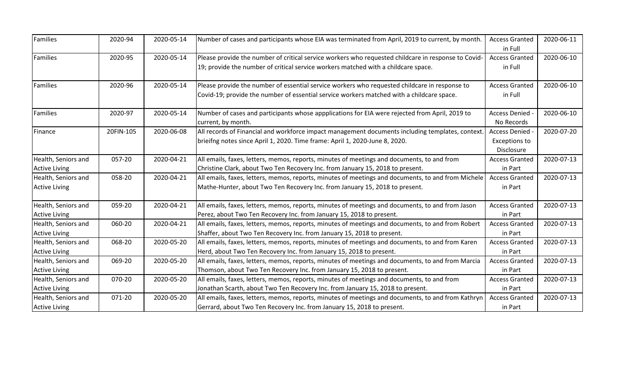| <b>Families</b>      | 2020-94   | 2020-05-14 | Number of cases and participants whose EIA was terminated from April, 2019 to current, by month.    | <b>Access Granted</b> | 2020-06-11 |
|----------------------|-----------|------------|-----------------------------------------------------------------------------------------------------|-----------------------|------------|
|                      |           |            |                                                                                                     | in Full               |            |
| Families             | 2020-95   | 2020-05-14 | Please provide the number of critical service workers who requested childcare in response to Covid- | <b>Access Granted</b> | 2020-06-10 |
|                      |           |            | 19; provide the number of critical service workers matched with a childcare space.                  | in Full               |            |
| <b>Families</b>      | 2020-96   | 2020-05-14 | Please provide the number of essential service workers who requested childcare in response to       | <b>Access Granted</b> | 2020-06-10 |
|                      |           |            | Covid-19; provide the number of essential service workers matched with a childcare space.           | in Full               |            |
| Families             | 2020-97   | 2020-05-14 | Number of cases and participants whose appplications for EIA were rejected from April, 2019 to      | Access Denied -       | 2020-06-10 |
|                      |           |            | current, by month.                                                                                  | No Records            |            |
| Finance              | 20FIN-105 | 2020-06-08 | All records of Financial and workforce impact management documents including templates, context.    | Access Denied -       | 2020-07-20 |
|                      |           |            | brieifng notes since April 1, 2020. Time frame: April 1, 2020-June 8, 2020.                         | <b>Exceptions to</b>  |            |
|                      |           |            |                                                                                                     | Disclosure            |            |
| Health, Seniors and  | 057-20    | 2020-04-21 | All emails, faxes, letters, memos, reports, minutes of meetings and documents, to and from          | <b>Access Granted</b> | 2020-07-13 |
| <b>Active Living</b> |           |            | Christine Clark, about Two Ten Recovery Inc. from January 15, 2018 to present.                      | in Part               |            |
| Health, Seniors and  | 058-20    | 2020-04-21 | All emails, faxes, letters, memos, reports, minutes of meetings and documents, to and from Michele  | <b>Access Granted</b> | 2020-07-13 |
| <b>Active Living</b> |           |            | Mathe-Hunter, about Two Ten Recovery Inc. from January 15, 2018 to present.                         | in Part               |            |
| Health, Seniors and  | 059-20    | 2020-04-21 | All emails, faxes, letters, memos, reports, minutes of meetings and documents, to and from Jason    | <b>Access Granted</b> | 2020-07-13 |
| <b>Active Living</b> |           |            | Perez, about Two Ten Recovery Inc. from January 15, 2018 to present.                                | in Part               |            |
| Health, Seniors and  | 060-20    | 2020-04-21 | All emails, faxes, letters, memos, reports, minutes of meetings and documents, to and from Robert   | <b>Access Granted</b> | 2020-07-13 |
| <b>Active Living</b> |           |            | Shaffer, about Two Ten Recovery Inc. from January 15, 2018 to present.                              | in Part               |            |
| Health, Seniors and  | 068-20    | 2020-05-20 | All emails, faxes, letters, memos, reports, minutes of meetings and documents, to and from Karen    | <b>Access Granted</b> | 2020-07-13 |
| <b>Active Living</b> |           |            | Herd, about Two Ten Recovery Inc. from January 15, 2018 to present.                                 | in Part               |            |
| Health, Seniors and  | 069-20    | 2020-05-20 | All emails, faxes, letters, memos, reports, minutes of meetings and documents, to and from Marcia   | <b>Access Granted</b> | 2020-07-13 |
| <b>Active Living</b> |           |            | Thomson, about Two Ten Recovery Inc. from January 15, 2018 to present.                              | in Part               |            |
| Health, Seniors and  | 070-20    | 2020-05-20 | All emails, faxes, letters, memos, reports, minutes of meetings and documents, to and from          | <b>Access Granted</b> | 2020-07-13 |
| <b>Active Living</b> |           |            | Jonathan Scarth, about Two Ten Recovery Inc. from January 15, 2018 to present.                      | in Part               |            |
| Health, Seniors and  | 071-20    | 2020-05-20 | All emails, faxes, letters, memos, reports, minutes of meetings and documents, to and from Kathryn  | <b>Access Granted</b> | 2020-07-13 |
| <b>Active Living</b> |           |            | Gerrard, about Two Ten Recovery Inc. from January 15, 2018 to present.                              | in Part               |            |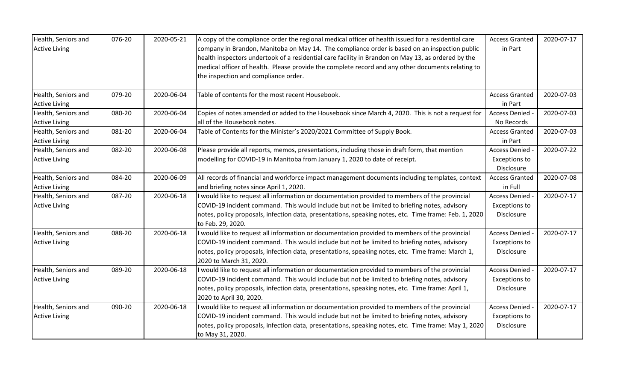| Health, Seniors and  | 076-20 | 2020-05-21 | A copy of the compliance order the regional medical officer of health issued for a residential care   | <b>Access Granted</b> | 2020-07-17 |
|----------------------|--------|------------|-------------------------------------------------------------------------------------------------------|-----------------------|------------|
| <b>Active Living</b> |        |            | company in Brandon, Manitoba on May 14. The compliance order is based on an inspection public         | in Part               |            |
|                      |        |            | health inspectors undertook of a residential care facility in Brandon on May 13, as ordered by the    |                       |            |
|                      |        |            | medical officer of health. Please provide the complete record and any other documents relating to     |                       |            |
|                      |        |            | the inspection and compliance order.                                                                  |                       |            |
|                      |        |            |                                                                                                       |                       |            |
| Health, Seniors and  | 079-20 | 2020-06-04 | Table of contents for the most recent Housebook.                                                      | <b>Access Granted</b> | 2020-07-03 |
| <b>Active Living</b> |        |            |                                                                                                       | in Part               |            |
| Health, Seniors and  | 080-20 | 2020-06-04 | Copies of notes amended or added to the Housebook since March 4, 2020. This is not a request for      | Access Denied -       | 2020-07-03 |
| <b>Active Living</b> |        |            | all of the Housebook notes.                                                                           | No Records            |            |
| Health, Seniors and  | 081-20 | 2020-06-04 | Table of Contents for the Minister's 2020/2021 Committee of Supply Book.                              | <b>Access Granted</b> | 2020-07-03 |
| <b>Active Living</b> |        |            |                                                                                                       | in Part               |            |
| Health, Seniors and  | 082-20 | 2020-06-08 | Please provide all reports, memos, presentations, including those in draft form, that mention         | Access Denied -       | 2020-07-22 |
| <b>Active Living</b> |        |            | modelling for COVID-19 in Manitoba from January 1, 2020 to date of receipt.                           | <b>Exceptions to</b>  |            |
|                      |        |            |                                                                                                       | Disclosure            |            |
| Health, Seniors and  | 084-20 | 2020-06-09 | All records of financial and workforce impact management documents including templates, context       | <b>Access Granted</b> | 2020-07-08 |
| <b>Active Living</b> |        |            | and briefing notes since April 1, 2020.                                                               | in Full               |            |
| Health, Seniors and  | 087-20 | 2020-06-18 | I would like to request all information or documentation provided to members of the provincial        | Access Denied -       | 2020-07-17 |
| <b>Active Living</b> |        |            | COVID-19 incident command. This would include but not be limited to briefing notes, advisory          | <b>Exceptions to</b>  |            |
|                      |        |            | notes, policy proposals, infection data, presentations, speaking notes, etc. Time frame: Feb. 1, 2020 | Disclosure            |            |
|                      |        |            | to Feb. 29, 2020.                                                                                     |                       |            |
| Health, Seniors and  | 088-20 | 2020-06-18 | I would like to request all information or documentation provided to members of the provincial        | <b>Access Denied</b>  | 2020-07-17 |
| <b>Active Living</b> |        |            | COVID-19 incident command. This would include but not be limited to briefing notes, advisory          | <b>Exceptions to</b>  |            |
|                      |        |            | notes, policy proposals, infection data, presentations, speaking notes, etc. Time frame: March 1,     | Disclosure            |            |
|                      |        |            | 2020 to March 31, 2020.                                                                               |                       |            |
| Health, Seniors and  | 089-20 | 2020-06-18 | I would like to request all information or documentation provided to members of the provincial        | Access Denied         | 2020-07-17 |
| <b>Active Living</b> |        |            | COVID-19 incident command. This would include but not be limited to briefing notes, advisory          | <b>Exceptions to</b>  |            |
|                      |        |            | notes, policy proposals, infection data, presentations, speaking notes, etc. Time frame: April 1,     | Disclosure            |            |
|                      |        |            | 2020 to April 30, 2020.                                                                               |                       |            |
| Health, Seniors and  | 090-20 | 2020-06-18 | I would like to request all information or documentation provided to members of the provincial        | <b>Access Denied</b>  | 2020-07-17 |
| <b>Active Living</b> |        |            | COVID-19 incident command. This would include but not be limited to briefing notes, advisory          | <b>Exceptions to</b>  |            |
|                      |        |            | notes, policy proposals, infection data, presentations, speaking notes, etc. Time frame: May 1, 2020  | Disclosure            |            |
|                      |        |            | to May 31, 2020.                                                                                      |                       |            |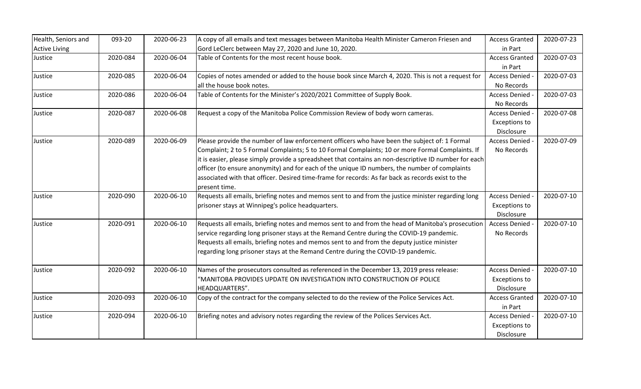| Health, Seniors and  | 093-20   | 2020-06-23 | A copy of all emails and text messages between Manitoba Health Minister Cameron Friesen and           | <b>Access Granted</b> | 2020-07-23 |
|----------------------|----------|------------|-------------------------------------------------------------------------------------------------------|-----------------------|------------|
| <b>Active Living</b> |          |            | Gord LeClerc between May 27, 2020 and June 10, 2020.                                                  | in Part               |            |
| Justice              | 2020-084 | 2020-06-04 | Table of Contents for the most recent house book.                                                     | <b>Access Granted</b> | 2020-07-03 |
|                      |          |            |                                                                                                       | in Part               |            |
| Justice              | 2020-085 | 2020-06-04 | Copies of notes amended or added to the house book since March 4, 2020. This is not a request for     | Access Denied -       | 2020-07-03 |
|                      |          |            | all the house book notes.                                                                             | No Records            |            |
| Justice              | 2020-086 | 2020-06-04 | Table of Contents for the Minister's 2020/2021 Committee of Supply Book.                              | <b>Access Denied</b>  | 2020-07-03 |
|                      |          |            |                                                                                                       | No Records            |            |
| Justice              | 2020-087 | 2020-06-08 | Request a copy of the Manitoba Police Commission Review of body worn cameras.                         | <b>Access Denied</b>  | 2020-07-08 |
|                      |          |            |                                                                                                       | <b>Exceptions to</b>  |            |
|                      |          |            |                                                                                                       | Disclosure            |            |
| Justice              | 2020-089 | 2020-06-09 | Please provide the number of law enforcement officers who have been the subject of: 1 Formal          | <b>Access Denied</b>  | 2020-07-09 |
|                      |          |            | Complaint; 2 to 5 Formal Complaints; 5 to 10 Formal Complaints; 10 or more Formal Complaints. If      | No Records            |            |
|                      |          |            | it is easier, please simply provide a spreadsheet that contains an non-descriptive ID number for each |                       |            |
|                      |          |            | officer (to ensure anonymity) and for each of the unique ID numbers, the number of complaints         |                       |            |
|                      |          |            | associated with that officer. Desired time-frame for records: As far back as records exist to the     |                       |            |
|                      |          |            | present time.                                                                                         |                       |            |
| Justice              | 2020-090 | 2020-06-10 | Requests all emails, briefing notes and memos sent to and from the justice minister regarding long    | <b>Access Denied</b>  | 2020-07-10 |
|                      |          |            | prisoner stays at Winnipeg's police headquarters.                                                     | <b>Exceptions to</b>  |            |
|                      |          |            |                                                                                                       | Disclosure            |            |
| Justice              | 2020-091 | 2020-06-10 | Requests all emails, briefing notes and memos sent to and from the head of Manitoba's prosecution     | <b>Access Denied</b>  | 2020-07-10 |
|                      |          |            | service regarding long prisoner stays at the Remand Centre during the COVID-19 pandemic.              | No Records            |            |
|                      |          |            | Requests all emails, briefing notes and memos sent to and from the deputy justice minister            |                       |            |
|                      |          |            | regarding long prisoner stays at the Remand Centre during the COVID-19 pandemic.                      |                       |            |
| Justice              | 2020-092 | 2020-06-10 | Names of the prosecutors consulted as referenced in the December 13, 2019 press release:              | <b>Access Denied</b>  | 2020-07-10 |
|                      |          |            | "MANITOBA PROVIDES UPDATE ON INVESTIGATION INTO CONSTRUCTION OF POLICE                                | <b>Exceptions to</b>  |            |
|                      |          |            | HEADQUARTERS".                                                                                        | Disclosure            |            |
| Justice              | 2020-093 | 2020-06-10 | Copy of the contract for the company selected to do the review of the Police Services Act.            | <b>Access Granted</b> | 2020-07-10 |
|                      |          |            |                                                                                                       | in Part               |            |
| Justice              | 2020-094 | 2020-06-10 | Briefing notes and advisory notes regarding the review of the Polices Services Act.                   | Access Denied -       | 2020-07-10 |
|                      |          |            |                                                                                                       | <b>Exceptions to</b>  |            |
|                      |          |            |                                                                                                       | Disclosure            |            |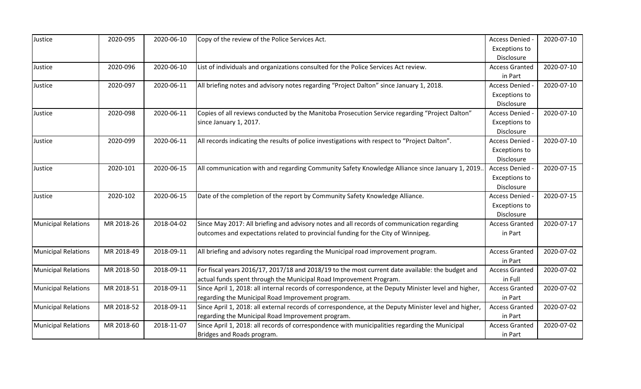| Justice                    | 2020-095   | 2020-06-10 | Copy of the review of the Police Services Act.                                                        | Access Denied -       | 2020-07-10 |
|----------------------------|------------|------------|-------------------------------------------------------------------------------------------------------|-----------------------|------------|
|                            |            |            |                                                                                                       | <b>Exceptions to</b>  |            |
|                            |            |            |                                                                                                       | Disclosure            |            |
| Justice                    | 2020-096   | 2020-06-10 | List of individuals and organizations consulted for the Police Services Act review.                   | <b>Access Granted</b> | 2020-07-10 |
|                            |            |            |                                                                                                       | in Part               |            |
| Justice                    | 2020-097   | 2020-06-11 | All briefing notes and advisory notes regarding "Project Dalton" since January 1, 2018.               | Access Denied -       | 2020-07-10 |
|                            |            |            |                                                                                                       | <b>Exceptions to</b>  |            |
|                            |            |            |                                                                                                       | Disclosure            |            |
| Justice                    | 2020-098   | 2020-06-11 | Copies of all reviews conducted by the Manitoba Prosecution Service regarding "Project Dalton"        | <b>Access Denied</b>  | 2020-07-10 |
|                            |            |            | since January 1, 2017.                                                                                | <b>Exceptions to</b>  |            |
|                            |            |            |                                                                                                       | Disclosure            |            |
| Justice                    | 2020-099   | 2020-06-11 | All records indicating the results of police investigations with respect to "Project Dalton".         | Access Denied -       | 2020-07-10 |
|                            |            |            |                                                                                                       | <b>Exceptions to</b>  |            |
|                            |            |            |                                                                                                       | Disclosure            |            |
| Justice                    | 2020-101   | 2020-06-15 | All communication with and regarding Community Safety Knowledge Alliance since January 1, 2019.       | Access Denied -       | 2020-07-15 |
|                            |            |            |                                                                                                       | <b>Exceptions to</b>  |            |
|                            |            |            |                                                                                                       | Disclosure            |            |
| Justice                    | 2020-102   | 2020-06-15 | Date of the completion of the report by Community Safety Knowledge Alliance.                          | <b>Access Denied</b>  | 2020-07-15 |
|                            |            |            |                                                                                                       | <b>Exceptions to</b>  |            |
|                            |            |            |                                                                                                       | Disclosure            |            |
| <b>Municipal Relations</b> | MR 2018-26 | 2018-04-02 | Since May 2017: All briefing and advisory notes and all records of communication regarding            | <b>Access Granted</b> | 2020-07-17 |
|                            |            |            | outcomes and expectations related to provincial funding for the City of Winnipeg.                     | in Part               |            |
|                            |            |            |                                                                                                       |                       |            |
| <b>Municipal Relations</b> | MR 2018-49 | 2018-09-11 | All briefing and advisory notes regarding the Municipal road improvement program.                     | <b>Access Granted</b> | 2020-07-02 |
|                            |            |            |                                                                                                       | in Part               |            |
| <b>Municipal Relations</b> | MR 2018-50 | 2018-09-11 | For fiscal years 2016/17, 2017/18 and 2018/19 to the most current date available: the budget and      | <b>Access Granted</b> | 2020-07-02 |
|                            |            |            | actual funds spent through the Municipal Road Improvement Program.                                    | in Full               |            |
| <b>Municipal Relations</b> | MR 2018-51 | 2018-09-11 | Since April 1, 2018: all internal records of correspondence, at the Deputy Minister level and higher, | <b>Access Granted</b> | 2020-07-02 |
|                            |            |            | regarding the Municipal Road Improvement program.                                                     | in Part               |            |
| <b>Municipal Relations</b> | MR 2018-52 | 2018-09-11 | Since April 1, 2018: all external records of correspondence, at the Deputy Minister level and higher, | <b>Access Granted</b> | 2020-07-02 |
|                            |            |            | regarding the Municipal Road Improvement program.                                                     | in Part               |            |
| <b>Municipal Relations</b> | MR 2018-60 | 2018-11-07 | Since April 1, 2018: all records of correspondence with municipalities regarding the Municipal        | <b>Access Granted</b> | 2020-07-02 |
|                            |            |            | Bridges and Roads program.                                                                            | in Part               |            |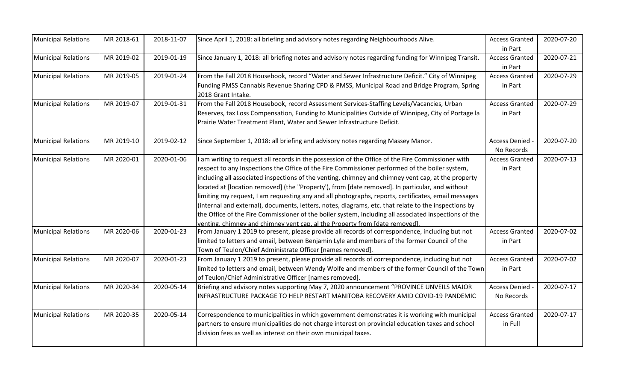| <b>Municipal Relations</b>                                                                                           | MR 2018-61 | 2018-11-07 | Since April 1, 2018: all briefing and advisory notes regarding Neighbourhoods Alive.                                                                                                                                                                                                                                                                                                                    | <b>Access Granted</b>              | 2020-07-20 |
|----------------------------------------------------------------------------------------------------------------------|------------|------------|---------------------------------------------------------------------------------------------------------------------------------------------------------------------------------------------------------------------------------------------------------------------------------------------------------------------------------------------------------------------------------------------------------|------------------------------------|------------|
|                                                                                                                      |            |            |                                                                                                                                                                                                                                                                                                                                                                                                         | in Part                            |            |
| <b>Municipal Relations</b>                                                                                           | MR 2019-02 | 2019-01-19 | Since January 1, 2018: all briefing notes and advisory notes regarding funding for Winnipeg Transit.                                                                                                                                                                                                                                                                                                    | <b>Access Granted</b>              | 2020-07-21 |
|                                                                                                                      |            |            |                                                                                                                                                                                                                                                                                                                                                                                                         | in Part                            |            |
| <b>Municipal Relations</b>                                                                                           | MR 2019-05 | 2019-01-24 | From the Fall 2018 Housebook, record "Water and Sewer Infrastructure Deficit." City of Winnipeg                                                                                                                                                                                                                                                                                                         | <b>Access Granted</b>              | 2020-07-29 |
|                                                                                                                      |            |            | Funding PMSS Cannabis Revenue Sharing CPD & PMSS, Municipal Road and Bridge Program, Spring<br>2018 Grant Intake.                                                                                                                                                                                                                                                                                       | in Part                            |            |
| <b>Municipal Relations</b>                                                                                           | MR 2019-07 | 2019-01-31 | From the Fall 2018 Housebook, record Assessment Services-Staffing Levels/Vacancies, Urban                                                                                                                                                                                                                                                                                                               | <b>Access Granted</b>              | 2020-07-29 |
|                                                                                                                      |            |            | Reserves, tax Loss Compensation, Funding to Municipalities Outside of Winnipeg, City of Portage la<br>Prairie Water Treatment Plant, Water and Sewer Infrastructure Deficit.                                                                                                                                                                                                                            | in Part                            |            |
| <b>Municipal Relations</b>                                                                                           | MR 2019-10 | 2019-02-12 | Since September 1, 2018: all briefing and advisory notes regarding Massey Manor.                                                                                                                                                                                                                                                                                                                        | <b>Access Denied</b><br>No Records | 2020-07-20 |
| <b>Municipal Relations</b>                                                                                           | MR 2020-01 | 2020-01-06 | I am writing to request all records in the possession of the Office of the Fire Commissioner with                                                                                                                                                                                                                                                                                                       | <b>Access Granted</b>              | 2020-07-13 |
|                                                                                                                      |            |            | respect to any Inspections the Office of the Fire Commissioner performed of the boiler system,                                                                                                                                                                                                                                                                                                          | in Part                            |            |
|                                                                                                                      |            |            | including all associated inspections of the venting, chimney and chimney vent cap, at the property                                                                                                                                                                                                                                                                                                      |                                    |            |
|                                                                                                                      |            |            | located at [location removed] (the "Property'), from [date removed]. In particular, and without                                                                                                                                                                                                                                                                                                         |                                    |            |
|                                                                                                                      |            |            | limiting my request, I am requesting any and all photographs, reports, certificates, email messages                                                                                                                                                                                                                                                                                                     |                                    |            |
|                                                                                                                      |            |            | (internal and external), documents, letters, notes, diagrams, etc. that relate to the inspections by                                                                                                                                                                                                                                                                                                    |                                    |            |
|                                                                                                                      |            |            | the Office of the Fire Commissioner of the boiler system, including all associated inspections of the                                                                                                                                                                                                                                                                                                   |                                    |            |
|                                                                                                                      |            |            | venting, chimney and chimney vent cap, al the Property from [date removed].                                                                                                                                                                                                                                                                                                                             |                                    |            |
|                                                                                                                      | MR 2020-06 | 2020-01-23 |                                                                                                                                                                                                                                                                                                                                                                                                         | <b>Access Granted</b>              | 2020-07-02 |
|                                                                                                                      |            |            |                                                                                                                                                                                                                                                                                                                                                                                                         | in Part                            |            |
|                                                                                                                      |            |            | Town of Teulon/Chief Administrate Officer [names removed].                                                                                                                                                                                                                                                                                                                                              |                                    |            |
|                                                                                                                      | MR 2020-07 | 2020-01-23 |                                                                                                                                                                                                                                                                                                                                                                                                         | <b>Access Granted</b>              | 2020-07-02 |
|                                                                                                                      |            |            | limited to letters and email, between Wendy Wolfe and members of the former Council of the Town                                                                                                                                                                                                                                                                                                         | in Part                            |            |
|                                                                                                                      |            |            | of Teulon/Chief Administrative Officer [names removed].                                                                                                                                                                                                                                                                                                                                                 |                                    |            |
|                                                                                                                      | MR 2020-34 | 2020-05-14 | Briefing and advisory notes supporting May 7, 2020 announcement "PROVINCE UNVEILS MAJOR                                                                                                                                                                                                                                                                                                                 | Access Denied -                    | 2020-07-17 |
|                                                                                                                      |            |            | INFRASTRUCTURE PACKAGE TO HELP RESTART MANITOBA RECOVERY AMID COVID-19 PANDEMIC                                                                                                                                                                                                                                                                                                                         | No Records                         |            |
|                                                                                                                      | MR 2020-35 | 2020-05-14 | Correspondence to municipalities in which government demonstrates it is working with municipal                                                                                                                                                                                                                                                                                                          | <b>Access Granted</b>              | 2020-07-17 |
|                                                                                                                      |            |            |                                                                                                                                                                                                                                                                                                                                                                                                         | in Full                            |            |
|                                                                                                                      |            |            | division fees as well as interest on their own municipal taxes.                                                                                                                                                                                                                                                                                                                                         |                                    |            |
| <b>Municipal Relations</b><br><b>Municipal Relations</b><br><b>Municipal Relations</b><br><b>Municipal Relations</b> |            |            | From January 1 2019 to present, please provide all records of correspondence, including but not<br>limited to letters and email, between Benjamin Lyle and members of the former Council of the<br>From January 1 2019 to present, please provide all records of correspondence, including but not<br>partners to ensure municipalities do not charge interest on provincial education taxes and school |                                    |            |